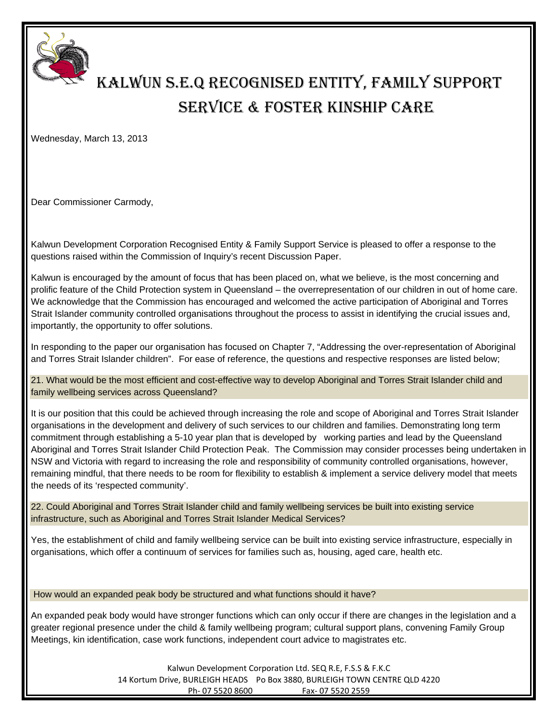

## KALWUN S.E.Q RECOGNISED ENTITY, FAMILY SUPPORT SERVICE & FOSTER KINSHIP CARE

Wednesday, March 13, 2013

Dear Commissioner Carmody,

Kalwun Development Corporation Recognised Entity & Family Support Service is pleased to offer a response to the questions raised within the Commission of Inquiry's recent Discussion Paper.

Kalwun is encouraged by the amount of focus that has been placed on, what we believe, is the most concerning and prolific feature of the Child Protection system in Queensland – the overrepresentation of our children in out of home care. We acknowledge that the Commission has encouraged and welcomed the active participation of Aboriginal and Torres Strait Islander community controlled organisations throughout the process to assist in identifying the crucial issues and, importantly, the opportunity to offer solutions.

In responding to the paper our organisation has focused on Chapter 7, "Addressing the over-representation of Aboriginal and Torres Strait Islander children". For ease of reference, the questions and respective responses are listed below;

21. What would be the most efficient and cost-effective way to develop Aboriginal and Torres Strait Islander child and family wellbeing services across Queensland?

It is our position that this could be achieved through increasing the role and scope of Aboriginal and Torres Strait Islander organisations in the development and delivery of such services to our children and families. Demonstrating long term commitment through establishing a 5-10 year plan that is developed by working parties and lead by the Queensland Aboriginal and Torres Strait Islander Child Protection Peak. The Commission may consider processes being undertaken in NSW and Victoria with regard to increasing the role and responsibility of community controlled organisations, however, remaining mindful, that there needs to be room for flexibility to establish & implement a service delivery model that meets the needs of its 'respected community'.

22. Could Aboriginal and Torres Strait Islander child and family wellbeing services be built into existing service infrastructure, such as Aboriginal and Torres Strait Islander Medical Services?

Yes, the establishment of child and family wellbeing service can be built into existing service infrastructure, especially in organisations, which offer a continuum of services for families such as, housing, aged care, health etc.

How would an expanded peak body be structured and what functions should it have?

An expanded peak body would have stronger functions which can only occur if there are changes in the legislation and a greater regional presence under the child & family wellbeing program; cultural support plans, convening Family Group Meetings, kin identification, case work functions, independent court advice to magistrates etc.

> Kalwun Development Corporation Ltd. SEQ R.E, F.S.S & F.K.C 14 Kortum Drive, BURLEIGH HEADS Po Box 3880, BURLEIGH TOWN CENTRE QLD 4220 Ph‐ 07 5520 8600 Fax‐ 07 5520 2559